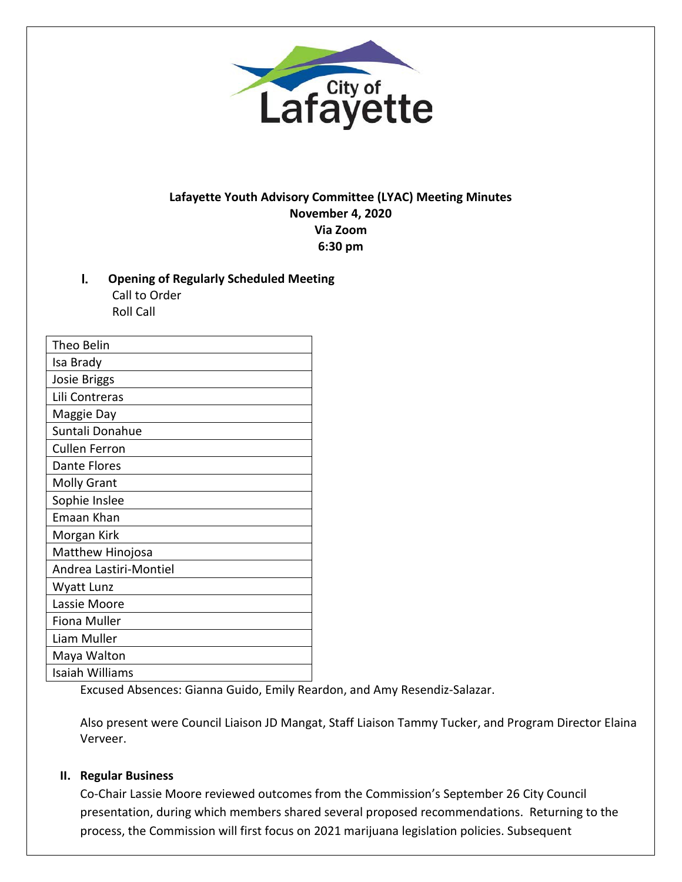

## **Lafayette Youth Advisory Committee (LYAC) Meeting Minutes November 4, 2020 Via Zoom 6:30 pm**

I. **Opening of Regularly Scheduled Meeting**  Call to Order Roll Call

| Theo Belin             |
|------------------------|
| Isa Brady              |
| <b>Josie Briggs</b>    |
| Lili Contreras         |
| Maggie Day             |
| Suntali Donahue        |
| <b>Cullen Ferron</b>   |
| Dante Flores           |
| <b>Molly Grant</b>     |
| Sophie Inslee          |
| Emaan Khan             |
| Morgan Kirk            |
| Matthew Hinojosa       |
| Andrea Lastiri-Montiel |
| Wyatt Lunz             |
| Lassie Moore           |
| Fiona Muller           |
| Liam Muller            |
| Maya Walton            |
| Isaiah Williams        |

Excused Absences: Gianna Guido, Emily Reardon, and Amy Resendiz-Salazar.

Also present were Council Liaison JD Mangat, Staff Liaison Tammy Tucker, and Program Director Elaina Verveer.

#### **II. Regular Business**

Co-Chair Lassie Moore reviewed outcomes from the Commission's September 26 City Council presentation, during which members shared several proposed recommendations. Returning to the process, the Commission will first focus on 2021 marijuana legislation policies. Subsequent